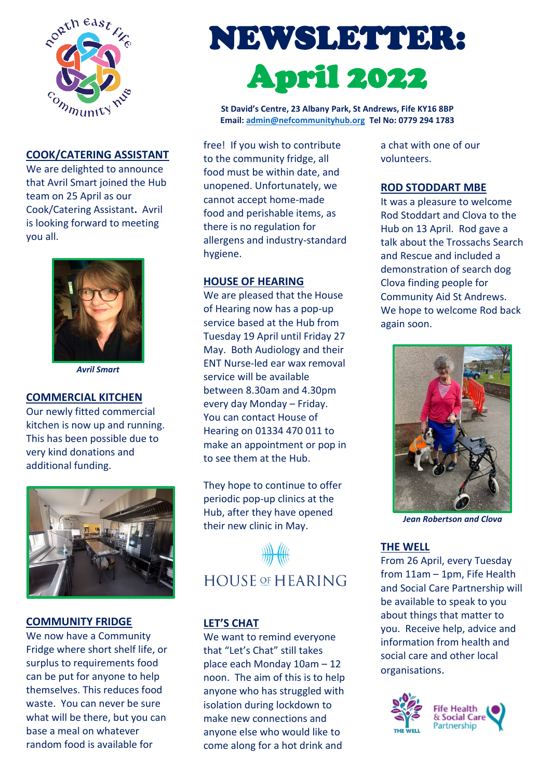

## **COOK/CATERING ASSISTANT**

We are delighted to announce that Avril Smart joined the Hub team on 25 April as our Cook/Catering Assistant**.** Avril is looking forward to meeting you all.



*Avril Smart*

# **COMMERCIAL KITCHEN**

Our newly fitted commercial kitchen is now up and running. This has been possible due to very kind donations and additional funding.



#### **COMMUNITY FRIDGE**

We now have a Community Fridge where short shelf life, or surplus to requirements food can be put for anyone to help themselves. This reduces food waste. You can never be sure what will be there, but you can base a meal on whatever random food is available for

# NEWSLETTER: April 2022

**St David's Centre, 23 Albany Park, St Andrews, Fife KY16 8BP Email: [admin@nefcommunityhub.org](mailto:admin@nefcommunityhub.org) Tel No: 0779 294 1783**

free! If you wish to contribute to the community fridge, all food must be within date, and unopened. Unfortunately, we cannot accept home-made food and perishable items, as there is no regulation for allergens and industry-standard hygiene.

## **HOUSE OF HEARING**

We are pleased that the House of Hearing now has a pop-up service based at the Hub from Tuesday 19 April until Friday 27 May. Both Audiology and their ENT Nurse-led ear wax removal service will be available between 8.30am and 4.30pm every day Monday – Friday. You can contact House of Hearing on 01334 470 011 to make an appointment or pop in to see them at the Hub.

They hope to continue to offer periodic pop-up clinics at the Hub, after they have opened their new clinic in May.



#### **LET'S CHAT**

We want to remind everyone that "Let's Chat" still takes place each Monday 10am – 12 noon. The aim of this is to help anyone who has struggled with isolation during lockdown to make new connections and anyone else who would like to come along for a hot drink and

a chat with one of our volunteers.

# **ROD STODDART MBE**

It was a pleasure to welcome Rod Stoddart and Clova to the Hub on 13 April. Rod gave a talk about the Trossachs Search and Rescue and included a demonstration of search dog Clova finding people for Community Aid St Andrews. We hope to welcome Rod back again soon.



*Jean Robertson and Clova*

# **THE WELL**

From 26 April, every Tuesday from 11am – 1pm, Fife Health and Social Care Partnership will be available to speak to you about things that matter to you. Receive help, advice and information from health and social care and other local organisations.